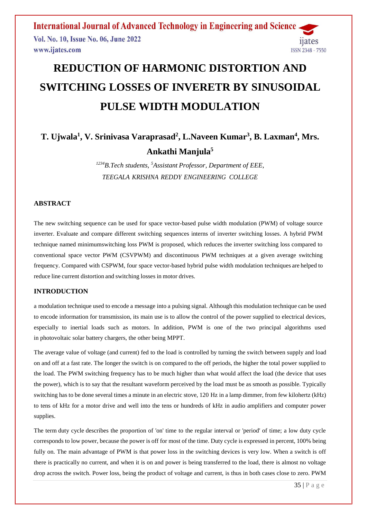**International Journal of Advanced Technology in Engineering and Science** Vol. No. 10, Issue No. 06, June 2022 11ates www.ijates.com

# **REDUCTION OF HARMONIC DISTORTION AND SWITCHING LOSSES OF INVERETR BY SINUSOIDAL PULSE WIDTH MODULATION**

## **T. Ujwala<sup>1</sup> , V. Srinivasa Varaprasad<sup>2</sup> , L.Naveen Kumar<sup>3</sup> , B. Laxman<sup>4</sup> , Mrs. Ankathi Manjula<sup>5</sup>**

*<sup>1234</sup>B.Tech students, <sup>5</sup>Assistant Professor, Department of EEE, TEEGALA KRISHNA REDDY ENGINEERING COLLEGE*

### **ABSTRACT**

The new switching sequence can be used for space vector-based pulse width modulation (PWM) of voltage source inverter. Evaluate and compare different switching sequences interns of inverter switching losses. A hybrid PWM technique named minimumswitching loss PWM is proposed, which reduces the inverter switching loss compared to conventional space vector PWM (CSVPWM) and discontinuous PWM techniques at a given average switching frequency. Compared with CSPWM, four space vector-based hybrid pulse width modulation techniques are helped to reduce line current distortion and switching losses in motor drives.

### **INTRODUCTION**

a [modulation](https://en.wikipedia.org/wiki/Modulation) technique used to encode a [message](https://en.wikipedia.org/wiki/Message) into a [pulsing signal.](https://en.wikipedia.org/wiki/Pulse_(signal_processing)) Although this modulation technique can be used to encode information for transmission, its main use is to allow the control of the power supplied to electrical devices, especially to inertial loads such as motors. In addition, PWM is one of the two principal algorithms used in [photovoltaic](https://en.wikipedia.org/wiki/Photovoltaic) solar battery chargers, the other being [MPPT.](https://en.wikipedia.org/wiki/MPPT)

The average value of [voltage](https://en.wikipedia.org/wiki/Volt) (and [current\)](https://en.wikipedia.org/wiki/Electric_current) fed to the [load](https://en.wikipedia.org/wiki/Electrical_load) is controlled by turning the switch between supply and load on and off at a fast rate. The longer the switch is on compared to the off periods, the higher the total power supplied to the load. The PWM switching frequency has to be much higher than what would affect the load (the device that uses the power), which is to say that the resultant waveform perceived by the load must be as smooth as possible. Typically switching has to be done several times a minute in an electric stove, 120 [Hz](https://en.wikipedia.org/wiki/Hertz) in a lamp dimmer, from few kilohertz (kHz) to tens of kHz for a motor drive and well into the tens or hundreds of kHz in audio amplifiers and computer power supplies.

The term [duty cycle](https://en.wikipedia.org/wiki/Duty_cycle) describes the proportion of 'on' time to the regular interval or 'period' of time; a low duty cycle corresponds to low power, because the power is off for most of the time. Duty cycle is expressed in percent, 100% being fully on. The main advantage of PWM is that power loss in the switching devices is very low. When a switch is off there is practically no current, and when it is on and power is being transferred to the load, there is almost no voltage drop across the switch. Power loss, being the product of voltage and current, is thus in both cases close to zero. PWM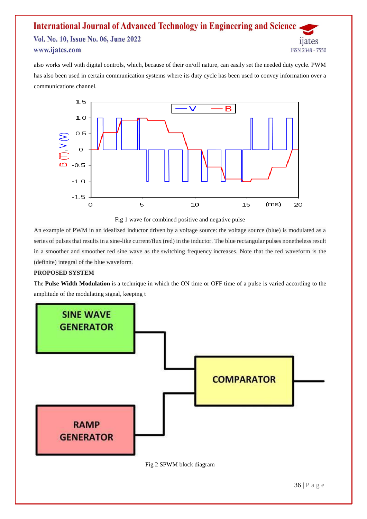### **International Journal of Advanced Technology in Engineering and Science** Vol. No. 10, Issue No. 06, June 2022 11ates www.ijates.com ISSN 2348 - 7550

also works well with digital controls, which, because of their on/off nature, can easily set the needed duty cycle. PWM has also been used in certain [communication systems](https://en.wikipedia.org/wiki/Signalling_(telecommunication)) where its duty cycle has been used to convey information over a communications channel.



Fig 1 wave for combined positive and negative pulse

An example of PWM in an idealized inductor driven by a voltage source: the voltage source (blue) is modulated as a series of pulses that results in a sine-like current/flux (red) in the inductor. The blue rectangular pulses nonetheless result in a smoother and smoother red sine wave as the switching frequency increases. Note that the red waveform is the (definite) integral of the blue waveform.

### **PROPOSED SYSTEM**

The **Pulse Width Modulation** is a technique in which the ON time or OFF time of a pulse is varied according to the amplitude of the modulating signal, keeping t

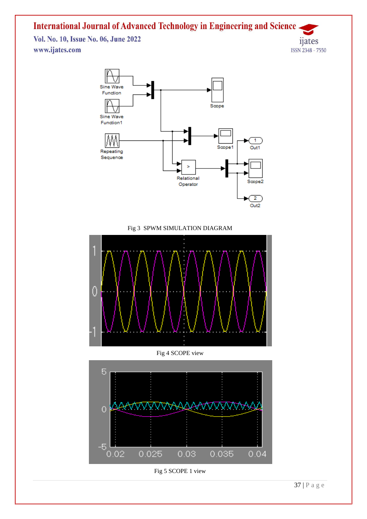Vol. No. 10, Issue No. 06, June 2022 www.ijates.com





Fig 3 SPWM SIMULATION DIAGRAM



### Fig 4 SCOPE view



Fig 5 SCOPE 1 view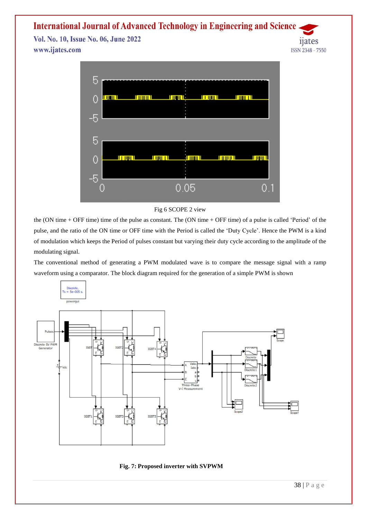Vol. No. 10, Issue No. 06, June 2022 www.ijates.com



### Fig 6 SCOPE 2 view

the (ON time + OFF time) time of the pulse as constant. The (ON time + OFF time) of a pulse is called 'Period' of the pulse, and the ratio of the ON time or OFF time with the Period is called the 'Duty Cycle'. Hence the PWM is a kind of modulation which keeps the Period of pulses constant but varying their duty cycle according to the amplitude of the modulating signal.

The conventional method of generating a PWM modulated wave is to compare the message signal with a ramp waveform using a comparator. The block diagram required for the generation of a simple PWM is shown





*n*ates

ISSN 2348 - 7550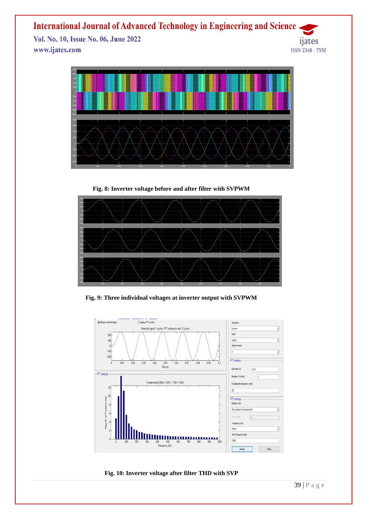Vol. No. 10, Issue No. 06, June 2022 www.ijates.com





**Fig. 8: Inverter voltage before and after filter with SVPWM**



**Fig. 9: Three individual voltages at inverter output with SVPWM**



**Fig. 10: Inverter voltage after filter THD with SVP**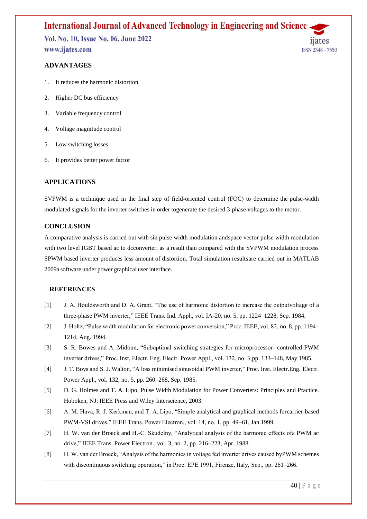Vol. No. 10, Issue No. 06, June 2022 www.ijates.com

### **ADVANTAGES**

- 1. It reduces the harmonic distortion
- 2. Higher DC bus efficiency
- 3. Variable frequency control
- 4. Voltage magnitude control
- 5. Low switching losses
- 6. It provides better power factor

### **APPLICATIONS**

SVPWM is a technique used in the final step of field-oriented control (FOC) to determine the pulse-width modulated signals for the inverter switches in order togenerate the desired 3-phase voltages to the motor.

### **CONCLUSION**

A comparative analysis is carried out with sin pulse width modulation andspace vector pulse width modulation with two level IGBT based ac to dcconverter, as a result than compared with the SVPWM modulation process SPWM based inverter produces less amount of distortion. Total simulation resultsare carried out in MATLAB 2009a software under power graphical user interface.

#### **REFERENCES**

- [1] J. A. Houldsworth and D. A. Grant, "The use of harmonic distortion to increase the outputvoltage of a three-phase PWM inverter," IEEE Trans. Ind. Appl., vol. IA-20, no. 5, pp. 1224–1228, Sep. 1984.
- [2] J. Holtz, "Pulse width modulation for electronic power conversion," Proc. IEEE, vol. 82, no. 8, pp. 1194– 1214, Aug. 1994.
- [3] S. R. Bowes and A. Midoun, "Suboptimal switching strategies for microprocessor- controlled PWM inverter drives," Proc. Inst. Electr. Eng. Electr. Power Appl., vol. 132, no. 3,pp. 133–148, May 1985.
- [4] J. T. Boys and S. J. Walton, "A loss minimised sinusoidal PWM inverter," Proc. Inst. Electr.Eng. Electr. Power Appl., vol. 132, no. 5, pp. 260–268, Sep. 1985.
- [5] D. G. Holmes and T. A. Lipo, Pulse Width Modulation for Power Converters: Principles and Practice. Hoboken, NJ: IEEE Press and Wiley Interscience, 2003.
- [6] A. M. Hava, R. J. Kerkman, and T. A. Lipo, "Simple analytical and graphical methods forcarrier-based PWM-VSI drives," IEEE Trans. Power Electron., vol. 14, no. 1, pp. 49–61, Jan.1999.
- [7] H. W. van der Broeck and H.-C. Skudelny, "Analytical analysis of the harmonic effects ofa PWM ac drive," IEEE Trans. Power Electron., vol. 3, no. 2, pp. 216–223, Apr. 1988.
- [8] H. W. van der Broeck, "Analysis of the harmonics in voltage fed inverter drives caused byPWM schemes with discontinuous switching operation," in Proc. EPE 1991, Firenze, Italy, Sep., pp. 261–266.

**ISSN 2348 - 7550**